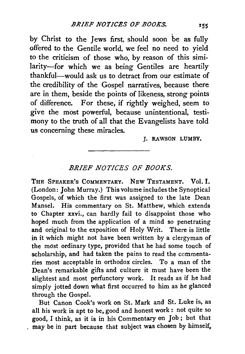by Christ to the Jews first, should soon be as fully offered to the Gentile world, we feel no need to yield to the criticism of those who, by reason of this similarity-for which we as being Gentiles are heartily thankful-would ask us to detract from our estimate of the credibility of the Gospel narratives, because there are in them, beside the points of likeness, strong points of difference. For these, if rightly weighed, seem to give the most powerful, because unintentional, testimony to the truth of all that the Evangelists have told us concerning these miracles.

I. RAWSON LUMBY.

## *BRIEF NOTICES OF BOOKS.*

THE SPEAKER's CoMMENTARY. NEw TEsTAMENT. Vol. I. (London: John Murray.) This volume includes the Synoptical Gospels, of which the first was assigned to the late Dean Manse!. His commentary on St. Matthew, which extends to Chapter xxvi., can hardly fail to disappoint those who hoped much from the application of a mind so penetrating and original to the exposition of Holy Writ. There is little in it which might not have been written by a clergyman of the mdst ordinary type, provided that he had some touch of scholarship, and had taken the pains to read the commentaries most acceptable in orthodox circles. To a man of the Dean's remarkable gifts and culture it must have been the slightest and most perfunctory work. It reads as if he had simply jotted down what first occurred to him as he glanced through the Gospel.

But Canon Cook's work on St. Mark and St. Luke is, as all his work is apt to be, good and honest work : not quite so good, I think, as it is in his Commentary on Job; but that may be in part because that subject was chosen by himself,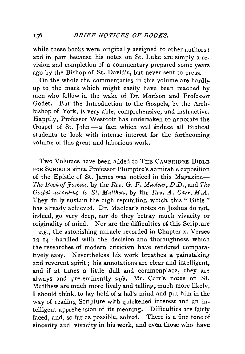while these books were originally assigned to other authors: and in part because his notes on St. Luke are simply a revision and completion of a commentary prepared some years ago by the Bishop of St. David's, but never sent to press.

On the whole the commentaries in this volume are hardly up to the mark which might easily have been reached by men who follow in the wake of Dr. Morison and Professor Godet. But the Introduction to the Gospels, by the Archbishop of York, is very able, comprehensive, and instructive. Happily, Professor Westcott has undertaken to annotate the Gospel of St. John-a fact which will induce all Biblical students to look with intense interest for the forthcoming volume of this great and laborious work.

Two Volumes have been added to THE CAMBRIDGE BIBLE FOR ScHOOLS since Professor Plumptre's admirable exposition of the Epistle of St. James was noticed in this Magazine-*The Book of Joshua, by the Rev. G. F. Maclear, D.D., and The Gospel according to St. Matthew,* by the *Rev. A. Carr, M.A.*  They fully sustain the high reputation which this "Bible" has already achieved. Dr. Maclear's notes on Joshua do not, indeed, go very deep, nor do they betray much vivacity or originality of mind. Nor are the difficulties of this Scripture *-e.g.,* the astonishing miracle recorded in Chapter x. Verses 12-14-handled with the decision and thoroughness which the researches of modern criticism have rendered comparatively easy. Nevertheless his work breathes a painstaking and reverent spirit ; his annotations are clear and intelligent, and if at times a little dull and commonplace, they are always and pre-eminently *safe.* Mr. Carr's notes on St. Matthew are much more lively and telling. much more likely, I should think, to lay hold of a lad's mind and put him in the way of reading Scripture with quickened interest and an intelligent apprehension of its meaning. Difficulties are fairly faced, and, so far as possible, solved. There is a fine tone of sincerity and vivacity in his work, and even those who have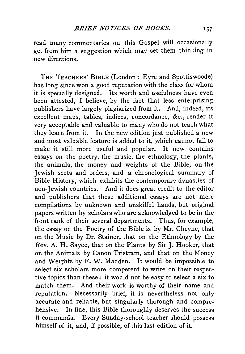read many commentaries on this Gospel will occasionally get from him a suggestion which may set them thinking in new directions.

THE TEACHERS' BIBLE (London: Eyre and Spottiswoode) has long since won a good reputation with the class for whom it is specially designed. Its worth and usefulness have even been attested, I believe, by the fact that less enterprizing publishers have largely plagiarized from it. And, indeed, its excellent maps, tables, indices, concordance, &c., render it very acceptable and valuable to many who do not teach what they learn from it. In the new edition just published a new and most valuable feature is added to it, which cannot fail to make it still more useful and popular. It now contains essays on the poetry, the music, the ethnology, the plants, the animals, the money and weights of the Bible, on the Jewish sects and orders, and a chronological summary of Bible History, which exhibits the contemporary dynasties of non-Jewish countries. And it does great credit to the editor and publishers that these additional essays are not mere compilations by unknown and unskilful hands, but original papers written by scholars who are acknowledged to be in the front rank of their several departments. Thus, for example, the essay on the Poetry of the Bible is by Mr. Cheyne, that on the Music by Dr. Stainer, that on the Ethnology by the Rev. A. H. Sayee, that on the Plants by Sir J. Hooker, that on the Animals by Canon Tristram, and that on the Money and Weights by F. W. Madden. It would be impossible to select six scholars more competent to write on their respective topics than these : it would not be easy to select a six to match them. And their work is worthy of their name and reputation. Necessarily brief, it is nevertheless not only accurate and reliable, but singularly thorough and comprehensive. In fine, this Bible thoroughly deserves the success it commands. Every Sunday-school teacher should possess himself of it, and, if possible, of this last edition of it.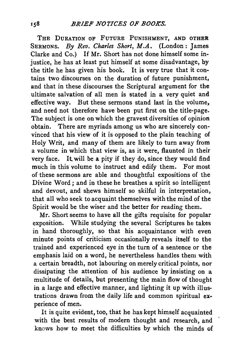THE DURATION OF FUTURE PUNISHMENT, AND OTHER SERMONS. By *Rev. Charles Short, M.A.* (London: James) Clarke and Co.) If Mr. Short has not done himself some injustice, he has at least put himself at some disadvantage, by the title he has given his book. It is very true that it contains two discourses on the duration of future punishment, and that in these discourses the Scriptural argument for the ultimate salvation of all men is stated in a very quiet and effective way. But these sermons stand last in the volume, and need not therefore have been put first on the title-page. The subject is one on which the gravest diversities of opinion obtain. There are myriads among us who are sincerely convinced that his view of it is opposed to the plain teaching of Holy Writ, and many of them are likely to turn away from a volume in which that view is, as it were, flaunted in their very face. It will be a pity if they do, since they would find much in this volume to instruct and edify them. For most of these sermons are able and thoughtful expositions of the Divine Word; and in these he breathes a spirit so intelligent and devout, and shews himself so skilful in interpretation, that all who seek to acquaint themselves with the mind of the Spirit would be the wiser and the better for reading them.

Mr. Short seems to have all the gifts requisite for popular exposition. While studying the several Scriptures he takes in hand thoroughly, so that his acquaintance with even minute points of criticism occasionally reveals itself to the trained and experienced eye in the turn of a sentence or the emphasis laid on a word, he nevertheless handles them with a certain breadth, not labouring on merely critical points, nor dissipating the attention of his audience by insisting on a multitude of details, but presenting the main flow of thought in a large and effective manner, and lighting it up with illustrations drawn from the daily life and common spiritual experience of men.

It is quite evident, too, that he has kept himself acquainted with the best results of modem thought and research, and knows how to meet the difficulties by which the minds of